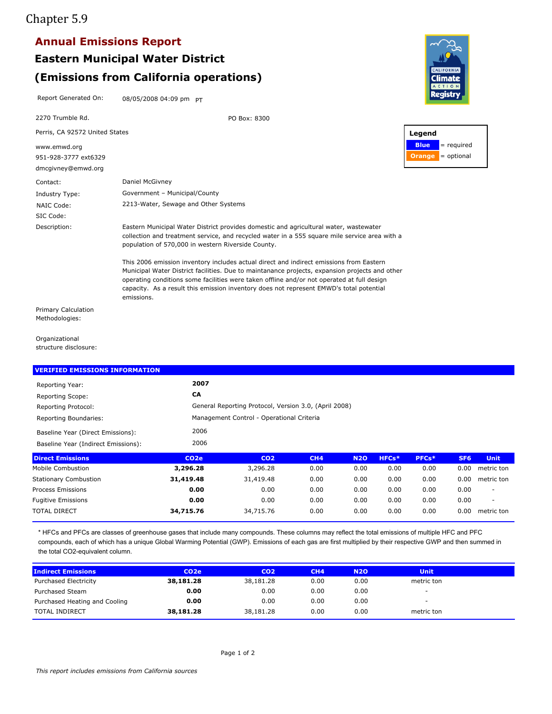## Chapter 5.9

## **Annual Emissions Report**

# **Eastern Municipal Water District Annual Emissions Report<br>Eastern Municipal Water District<br>(Emissions from California operations)<br>Report Generated On: 08/05/2008 04:09 pm PT<br>2270 Trumble Rd. PO Box: 8300 (Emissions from California operations)**

Contact: Daniel McGivney 951-928-3777 ext6329 dmcgivney@emwd.org Eastern Municipal Water District provides domestic and agricultural water, wastewater collection and treatment service, and recycled water in a 555 square mile service area with a population of 570,000 in western Riverside County. This 2006 emission inventory includes actual direct and indirect emissions from Eastern Municipal Water District facilities. Due to maintanance projects, expansion projects and other operating conditions some facilities were taken offline and/or not operated at full design capacity. As a result this emission inventory does not represent EMWD's total potential emissions. Description: NAIC Code: 2213-Water, Sewage and Other Systems Industry Type: Government – Municipal/County 2270 Trumble Rd. www.emwd.org SIC Code: PO Box: 8300 Perris, CA 92572 United States Primary Calculation Methodologies:

**Organizational** structure disclosure:

| Reporting Year:                     | 2007              |                                                       |      |            |       |       |                 |                          |
|-------------------------------------|-------------------|-------------------------------------------------------|------|------------|-------|-------|-----------------|--------------------------|
| <b>Reporting Scope:</b>             | CA                |                                                       |      |            |       |       |                 |                          |
| Reporting Protocol:                 |                   | General Reporting Protocol, Version 3.0, (April 2008) |      |            |       |       |                 |                          |
| Reporting Boundaries:               |                   | Management Control - Operational Criteria             |      |            |       |       |                 |                          |
| Baseline Year (Direct Emissions):   | 2006              |                                                       |      |            |       |       |                 |                          |
| Baseline Year (Indirect Emissions): | 2006              |                                                       |      |            |       |       |                 |                          |
| <b>Direct Emissions</b>             | CO <sub>2</sub> e | CO <sub>2</sub>                                       | CH4  | <b>N2O</b> | HFCs* | PFCs* | SF <sub>6</sub> | <b>Unit</b>              |
| Mobile Combustion                   | 3,296.28          | 3,296.28                                              | 0.00 | 0.00       | 0.00  | 0.00  | 0.00            | metric ton               |
| <b>Stationary Combustion</b>        | 31,419.48         | 31,419.48                                             | 0.00 | 0.00       | 0.00  | 0.00  | 0.00            | metric ton               |
| Process Emissions                   | 0.00              | 0.00                                                  | 0.00 | 0.00       | 0.00  | 0.00  | 0.00            | $\overline{\phantom{a}}$ |
| <b>Fugitive Emissions</b>           | 0.00              | 0.00                                                  | 0.00 | 0.00       | 0.00  | 0.00  | 0.00            | $\overline{\phantom{a}}$ |
| <b>TOTAL DIRECT</b>                 | 34,715.76         | 34,715.76                                             | 0.00 | 0.00       | 0.00  | 0.00  | 0.00            | metric ton               |

| Process Emissions                                                                                                                                                                                                                                                                                                                                     | 0.00              | 0.00            | 0.00 | 0.00       | 0.00 | 0.00        | 0.00 |            |
|-------------------------------------------------------------------------------------------------------------------------------------------------------------------------------------------------------------------------------------------------------------------------------------------------------------------------------------------------------|-------------------|-----------------|------|------------|------|-------------|------|------------|
| <b>Fugitive Emissions</b>                                                                                                                                                                                                                                                                                                                             | 0.00              | 0.00            | 0.00 | 0.00       | 0.00 | 0.00        | 0.00 |            |
| <b>TOTAL DIRECT</b>                                                                                                                                                                                                                                                                                                                                   | 34,715.76         | 34,715.76       | 0.00 | 0.00       | 0.00 | 0.00        | 0.00 | metric ton |
| * HFCs and PFCs are classes of greenhouse gases that include many compounds. These columns may reflect the total emissions of multiple HFC and PFC<br>compounds, each of which has a unique Global Warming Potential (GWP). Emissions of each gas are first multiplied by their respective GWP and then summed in<br>the total CO2-equivalent column. |                   |                 |      |            |      |             |      |            |
|                                                                                                                                                                                                                                                                                                                                                       |                   |                 |      |            |      |             |      |            |
| <b>Indirect Emissions</b>                                                                                                                                                                                                                                                                                                                             | CO <sub>2</sub> e | CO <sub>2</sub> | CH4  | <b>N2O</b> |      | <b>Unit</b> |      |            |
| <b>Purchased Electricity</b>                                                                                                                                                                                                                                                                                                                          | 38,181.28         | 38,181.28       | 0.00 | 0.00       |      | metric ton  |      |            |
| Purchased Steam                                                                                                                                                                                                                                                                                                                                       | 0.00              | 0.00            | 0.00 | 0.00       |      | ۰           |      |            |
| Purchased Heating and Cooling                                                                                                                                                                                                                                                                                                                         | 0.00              | 0.00            | 0.00 | 0.00       |      | -           |      |            |